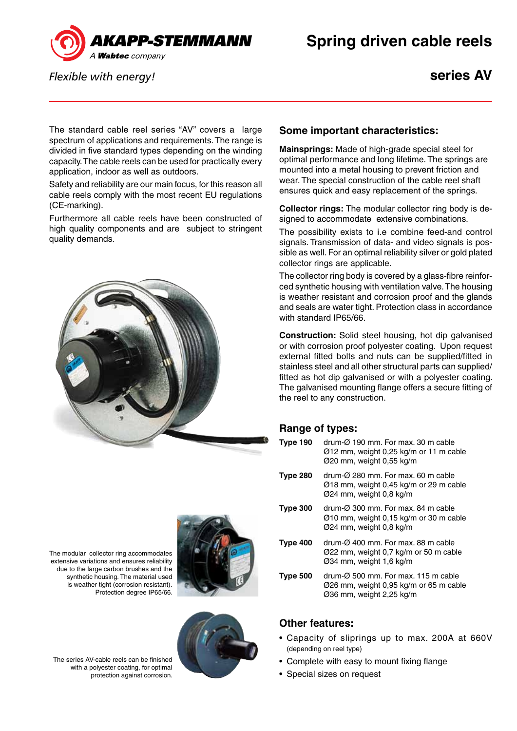

*Flexible with energy!*

**series AV**

The standard cable reel series "AV" covers a large spectrum of applications and requirements. The range is divided in five standard types depending on the winding capacity. The cable reels can be used for practically every application, indoor as well as outdoors.

Safety and reliability are our main focus, for this reason all cable reels comply with the most recent EU regulations (CE-marking).

Furthermore all cable reels have been constructed of high quality components and are subject to stringent quality demands.





## **Some important characteristics:**

**Mainsprings:** Made of high-grade special steel for optimal performance and long lifetime. The springs are mounted into a metal housing to prevent friction and wear. The special construction of the cable reel shaft ensures quick and easy replacement of the springs.

**Collector rings:** The modular collector ring body is designed to accommodate extensive combinations.

The possibility exists to i.e combine feed-and control signals. Transmission of data- and video signals is possible as well. For an optimal reliability silver or gold plated collector rings are applicable.

The collector ring body is covered by a glass-fibre reinforced synthetic housing with ventilation valve. The housing is weather resistant and corrosion proof and the glands and seals are water tight. Protection class in accordance with standard IP65/66.

**Construction:** Solid steel housing, hot dip galvanised or with corrosion proof polyester coating. Upon request external fitted bolts and nuts can be supplied/fitted in stainless steel and all other structural parts can supplied/ fitted as hot dip galvanised or with a polyester coating. The galvanised mounting flange offers a secure fitting of the reel to any construction.

## **Range of types:**

| Type 190        | drum-Ø 190 mm. For max. 30 m cable<br>Ø12 mm, weight 0,25 kg/m or 11 m cable<br>Ø20 mm, weight 0,55 kg/m                          |
|-----------------|-----------------------------------------------------------------------------------------------------------------------------------|
| <b>Type 280</b> | drum-Ø 280 mm. For max. 60 m cable<br>$\varnothing$ 18 mm, weight 0,45 kg/m or 29 m cable<br>Ø24 mm, weight 0,8 kg/m              |
| Type 300        | drum- $\varnothing$ 300 mm. For max, 84 m cable<br>$\varnothing$ 10 mm, weight 0,15 kg/m or 30 m cable<br>Ø24 mm, weight 0,8 kg/m |
| Type 400        | drum- $\varnothing$ 400 mm. For max, 88 m cable<br>Ø22 mm, weight 0.7 kg/m or 50 m cable<br>Ø34 mm, weight 1,6 kg/m               |
| <b>Type 500</b> | drum- $\varnothing$ 500 mm. For max, 115 m cable<br>Ø26 mm, weight 0,95 kg/m or 65 m cable<br>Ø36 mm, weight 2,25 kg/m            |

## **Other features:**

- • Capacity of sliprings up to max. 200A at 660V (depending on reel type)
- Complete with easy to mount fixing flange
- Special sizes on request

The modular collector ring accommodates extensive variations and ensures reliability due to the large carbon brushes and the synthetic housing. The material used is weather tight (corrosion resistant). Protection degree IP65/66.

The series AV-cable reels can be finished with a polyester coating, for optimal protection against corrosion.